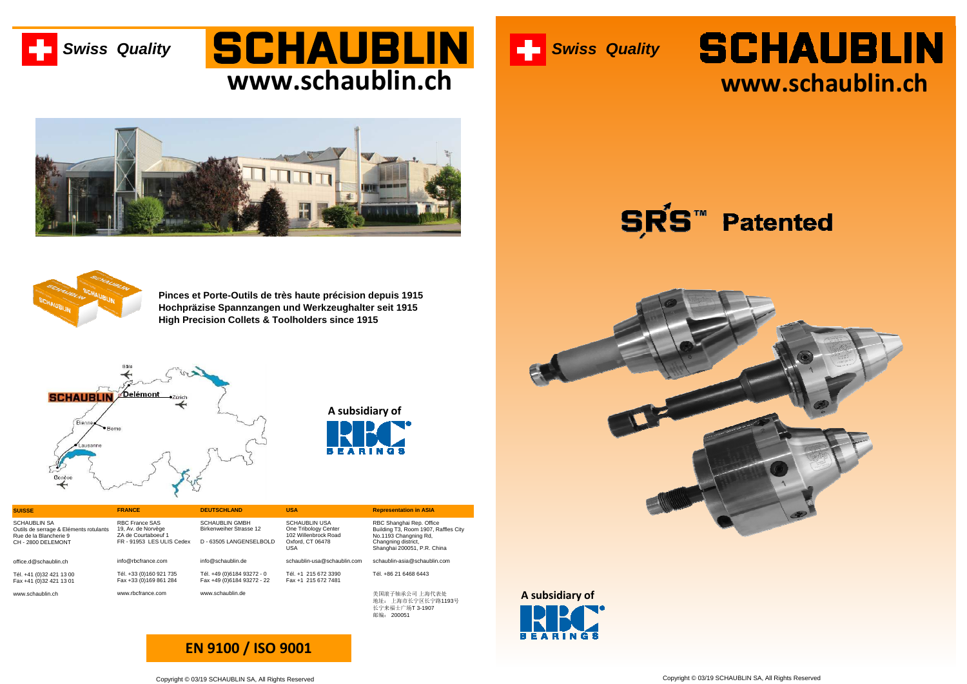**Pinces et Porte-Outils de très haute précision depuis 1915 Hochpräzise Spannzangen und Werkzeughalter seit 1915High Precision Collets & Toolholders since 1915**



### SCHAUBLIN **www.schaublin.ch**







**EN 9100 / ISO 9001**



# **SCHAUBLIN www.schaublin.ch**

#### **Patented**



地址: 上海市长宁区长宁路1193号<br>长宁来福士广场T 3-1907<br>芒宗 邮编: <sup>200051</sup>

| <b>SUISSE</b>                                                                                          | <b>FRANCE</b>                                                                                   | <b>DEUTSCHLAND</b>                                                                 | USA                                                                                      | <b>Representation in ASIA</b>                                                                                    |
|--------------------------------------------------------------------------------------------------------|-------------------------------------------------------------------------------------------------|------------------------------------------------------------------------------------|------------------------------------------------------------------------------------------|------------------------------------------------------------------------------------------------------------------|
| SCHAUBLIN SA<br>Outils de serrage & Eléments rotulants<br>Rue de la Blancherie 9<br>CH - 2800 DELEMONT | <b>RBC France SAS</b><br>19, Av. de Norvège<br>ZA de Courtaboeuf 1<br>FR - 91953 LES ULIS Cedex | <b>SCHAUBLIN GMBH</b><br><b>Birkenweiher Strasse 12</b><br>D - 63505 LANGENSELBOLD | <b>SCHAUBLIN USA</b><br>One Tribology Center<br>102 Willenbrock Road<br>Oxford, CT 06478 | RBC Shanghai Rep. Office<br>Building T3, Room 1907, Raffles City<br>No.1193 Changning Rd,<br>Changning district, |
|                                                                                                        |                                                                                                 |                                                                                    | USA                                                                                      | Shanghai 200051, P.R. China                                                                                      |
| office.d@schaublin.ch                                                                                  | info@rbcfrance.com                                                                              | info@schaublin.de                                                                  | schaublin-usa@schaublin.com                                                              | schaublin-asia@schaublin.com                                                                                     |
| Tél. +41 (0)32 421 13 00                                                                               | Tél. +33 (0)160 921 735                                                                         | Tél. +49 (0)6184 93272 - 0                                                         | Tél. +1 215 672 3390                                                                     | Tél. +86 21 6468 6443                                                                                            |
| Fax +41 (0)32 421 13 01                                                                                | Fax +33 (0)169 861 284                                                                          | Fax +49 (0)6184 93272 - 22                                                         | Fax +1 215 672 7481                                                                      |                                                                                                                  |
| www.schaublin.ch                                                                                       | www.rbcfrance.com                                                                               | www.schaublin.de                                                                   |                                                                                          | 美国滚子轴承公司 上海代表处<br>地址, 上海市长宁区长宁路1193号                                                                             |

**Swiss Quality**

**SRS™** 

45